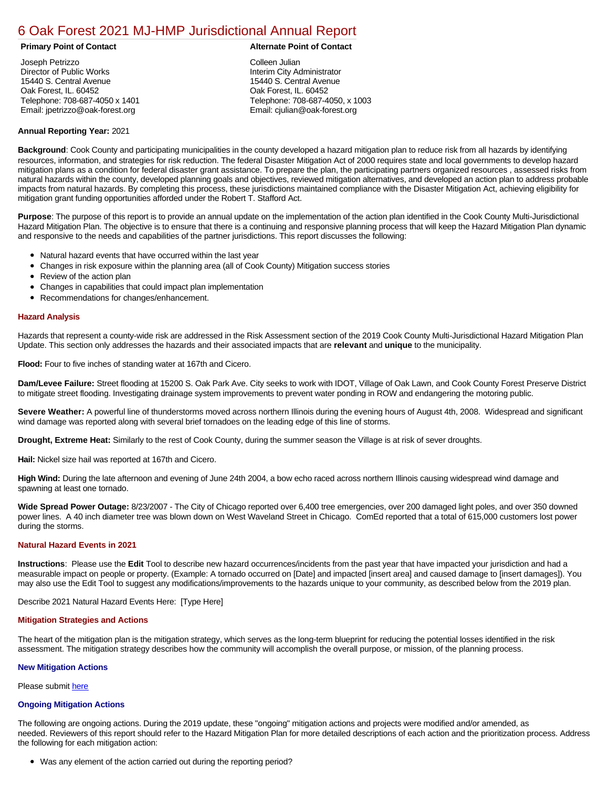# [6 Oak Forest 2021 MJ-HMP Jurisdictional Annual Report](https://oakforest.isc-cemp.com/Cemp/Details?id=8322855)

Joseph Petrizzo Director of Public Works 15440 S. Central Avenue Oak Forest, IL. 60452 Telephone: 708-687-4050 x 1401 Email: jpetrizzo@oak-forest.org

### **Primary Point of Contact Alternate Point of Contact**

Colleen Julian Interim City Administrator 15440 S. Central Avenue Oak Forest, IL. 60452 Telephone: 708-687-4050, x 1003 Email: cjulian@oak-forest.org

### **Annual Reporting Year:** 2021

**Background**: Cook County and participating municipalities in the county developed a hazard mitigation plan to reduce risk from all hazards by identifying resources, information, and strategies for risk reduction. The federal Disaster Mitigation Act of 2000 requires state and local governments to develop hazard mitigation plans as a condition for federal disaster grant assistance. To prepare the plan, the participating partners organized resources , assessed risks from natural hazards within the county, developed planning goals and objectives, reviewed mitigation alternatives, and developed an action plan to address probable impacts from natural hazards. By completing this process, these jurisdictions maintained compliance with the Disaster Mitigation Act, achieving eligibility for mitigation grant funding opportunities afforded under the Robert T. Stafford Act.

**Purpose**: The purpose of this report is to provide an annual update on the implementation of the action plan identified in the Cook County Multi-Jurisdictional Hazard Mitigation Plan. The objective is to ensure that there is a continuing and responsive planning process that will keep the Hazard Mitigation Plan dynamic and responsive to the needs and capabilities of the partner jurisdictions. This report discusses the following:

- Natural hazard events that have occurred within the last year
- Changes in risk exposure within the planning area (all of Cook County) Mitigation success stories
- Review of the action plan
- Changes in capabilities that could impact plan implementation
- Recommendations for changes/enhancement.

### **Hazard Analysis**

Hazards that represent a county-wide risk are addressed in the Risk Assessment section of the 2019 Cook County Multi-Jurisdictional Hazard Mitigation Plan Update. This section only addresses the hazards and their associated impacts that are **relevant** and **unique** to the municipality.

**Flood:** Four to five inches of standing water at 167th and Cicero.

**Dam/Levee Failure:** Street flooding at 15200 S. Oak Park Ave. City seeks to work with IDOT, Village of Oak Lawn, and Cook County Forest Preserve District to mitigate street flooding. Investigating drainage system improvements to prevent water ponding in ROW and endangering the motoring public.

**Severe Weather:** A powerful line of thunderstorms moved across northern Illinois during the evening hours of August 4th, 2008. Widespread and significant wind damage was reported along with several brief tornadoes on the leading edge of this line of storms.

**Drought, Extreme Heat:** Similarly to the rest of Cook County, during the summer season the Village is at risk of sever droughts.

**Hail:** Nickel size hail was reported at 167th and Cicero.

**High Wind:** During the late afternoon and evening of June 24th 2004, a bow echo raced across northern Illinois causing widespread wind damage and spawning at least one tornado.

**Wide Spread Power Outage:** 8/23/2007 - The City of Chicago reported over 6,400 tree emergencies, over 200 damaged light poles, and over 350 downed power lines. A 40 inch diameter tree was blown down on West Waveland Street in Chicago. ComEd reported that a total of 615,000 customers lost power during the storms.

#### **Natural Hazard Events in 2021**

**Instructions**: Please use the **Edit** Tool to describe new hazard occurrences/incidents from the past year that have impacted your jurisdiction and had a measurable impact on people or property. (Example: A tornado occurred on [Date] and impacted [insert area] and caused damage to [insert damages]). You may also use the Edit Tool to suggest any modifications/improvements to the hazards unique to your community, as described below from the 2019 plan.

Describe 2021 Natural Hazard Events Here: [Type Here]

#### **Mitigation Strategies and Actions**

The heart of the mitigation plan is the mitigation strategy, which serves as the long-term blueprint for reducing the potential losses identified in the risk assessment. The mitigation strategy describes how the community will accomplish the overall purpose, or mission, of the planning process.

### **New Mitigation Actions**

Please submit [here](https://integratedsolutions.wufoo.com/forms/mg21jvf0jn639o/)

## **Ongoing Mitigation Actions**

The following are ongoing actions. During the 2019 update, these "ongoing" mitigation actions and projects were modified and/or amended, as needed. Reviewers of this report should refer to the Hazard Mitigation Plan for more detailed descriptions of each action and the prioritization process. Address the following for each mitigation action:

Was any element of the action carried out during the reporting period?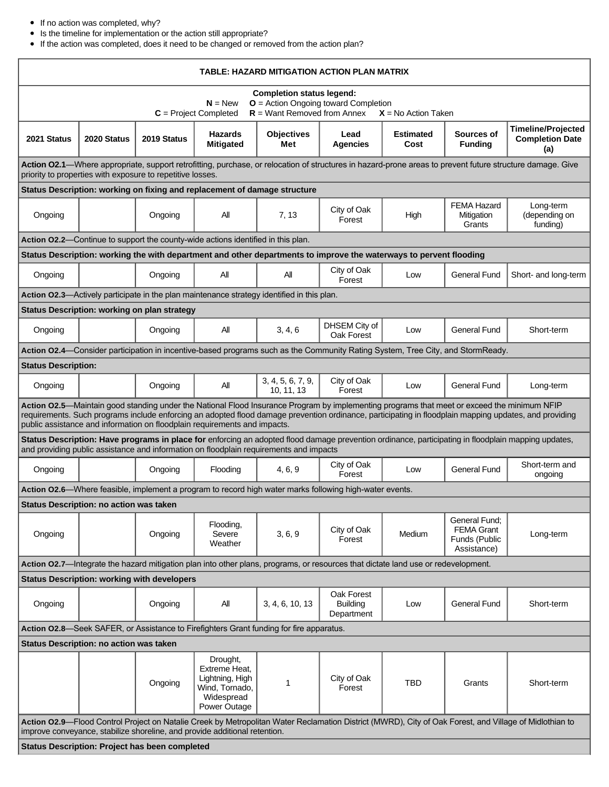# If no action was completed, why?

Г

Is the timeline for implementation or the action still appropriate?

If the action was completed, does it need to be changed or removed from the action plan?

| TABLE: HAZARD MITIGATION ACTION PLAN MATRIX                                                                                                                                                                                                                                                                                                                                        |                                                                                  |                                                    |                                                                                              |                                 |                                                                                                                                   |                          |                                                                                                                                |                                                            |  |  |  |
|------------------------------------------------------------------------------------------------------------------------------------------------------------------------------------------------------------------------------------------------------------------------------------------------------------------------------------------------------------------------------------|----------------------------------------------------------------------------------|----------------------------------------------------|----------------------------------------------------------------------------------------------|---------------------------------|-----------------------------------------------------------------------------------------------------------------------------------|--------------------------|--------------------------------------------------------------------------------------------------------------------------------|------------------------------------------------------------|--|--|--|
| <b>Completion status legend:</b><br>$N = New$<br>$O =$ Action Ongoing toward Completion<br>$R =$ Want Removed from Annex<br>$C =$ Project Completed<br>$X = No$ Action Taken                                                                                                                                                                                                       |                                                                                  |                                                    |                                                                                              |                                 |                                                                                                                                   |                          |                                                                                                                                |                                                            |  |  |  |
| 2021 Status                                                                                                                                                                                                                                                                                                                                                                        | 2020 Status                                                                      | 2019 Status                                        | <b>Hazards</b><br><b>Mitigated</b>                                                           | <b>Objectives</b><br>Met        | Lead<br><b>Agencies</b>                                                                                                           | <b>Estimated</b><br>Cost | Sources of<br><b>Funding</b>                                                                                                   | <b>Timeline/Projected</b><br><b>Completion Date</b><br>(a) |  |  |  |
| Action O2.1-Where appropriate, support retrofitting, purchase, or relocation of structures in hazard-prone areas to prevent future structure damage. Give<br>priority to properties with exposure to repetitive losses.                                                                                                                                                            |                                                                                  |                                                    |                                                                                              |                                 |                                                                                                                                   |                          |                                                                                                                                |                                                            |  |  |  |
| Status Description: working on fixing and replacement of damage structure                                                                                                                                                                                                                                                                                                          |                                                                                  |                                                    |                                                                                              |                                 |                                                                                                                                   |                          |                                                                                                                                |                                                            |  |  |  |
| Ongoing                                                                                                                                                                                                                                                                                                                                                                            |                                                                                  | Ongoing                                            | Αll                                                                                          | 7, 13                           | City of Oak<br>Forest                                                                                                             | High                     | <b>FEMA Hazard</b><br>Mitigation<br>Grants                                                                                     | Long-term<br>(depending on<br>funding)                     |  |  |  |
|                                                                                                                                                                                                                                                                                                                                                                                    | Action 02.2-Continue to support the county-wide actions identified in this plan. |                                                    |                                                                                              |                                 |                                                                                                                                   |                          |                                                                                                                                |                                                            |  |  |  |
| Status Description: working the with department and other departments to improve the waterways to pervent flooding                                                                                                                                                                                                                                                                 |                                                                                  |                                                    |                                                                                              |                                 |                                                                                                                                   |                          |                                                                                                                                |                                                            |  |  |  |
| Ongoing                                                                                                                                                                                                                                                                                                                                                                            |                                                                                  | Ongoing                                            | All                                                                                          | All                             | City of Oak<br>Forest                                                                                                             | Low                      | <b>General Fund</b>                                                                                                            | Short- and long-term                                       |  |  |  |
|                                                                                                                                                                                                                                                                                                                                                                                    |                                                                                  |                                                    | Action O2.3—Actively participate in the plan maintenance strategy identified in this plan.   |                                 |                                                                                                                                   |                          |                                                                                                                                |                                                            |  |  |  |
|                                                                                                                                                                                                                                                                                                                                                                                    |                                                                                  | Status Description: working on plan strategy       |                                                                                              |                                 |                                                                                                                                   |                          |                                                                                                                                |                                                            |  |  |  |
| Ongoing                                                                                                                                                                                                                                                                                                                                                                            |                                                                                  | Ongoing                                            | All                                                                                          | 3, 4, 6                         | DHSEM City of<br>Oak Forest                                                                                                       | Low                      | <b>General Fund</b>                                                                                                            | Short-term                                                 |  |  |  |
|                                                                                                                                                                                                                                                                                                                                                                                    |                                                                                  |                                                    |                                                                                              |                                 |                                                                                                                                   |                          | Action 02.4—Consider participation in incentive-based programs such as the Community Rating System, Tree City, and StormReady. |                                                            |  |  |  |
| <b>Status Description:</b>                                                                                                                                                                                                                                                                                                                                                         |                                                                                  |                                                    |                                                                                              |                                 |                                                                                                                                   |                          |                                                                                                                                |                                                            |  |  |  |
| Ongoing                                                                                                                                                                                                                                                                                                                                                                            |                                                                                  | Ongoing                                            | All                                                                                          | 3, 4, 5, 6, 7, 9,<br>10, 11, 13 | City of Oak<br>Forest                                                                                                             | Low                      | <b>General Fund</b>                                                                                                            | Long-term                                                  |  |  |  |
| Action O2.5-Maintain good standing under the National Flood Insurance Program by implementing programs that meet or exceed the minimum NFIP<br>requirements. Such programs include enforcing an adopted flood damage prevention ordinance, participating in floodplain mapping updates, and providing<br>public assistance and information on floodplain requirements and impacts. |                                                                                  |                                                    |                                                                                              |                                 |                                                                                                                                   |                          |                                                                                                                                |                                                            |  |  |  |
| Status Description: Have programs in place for enforcing an adopted flood damage prevention ordinance, participating in floodplain mapping updates,<br>and providing public assistance and information on floodplain requirements and impacts                                                                                                                                      |                                                                                  |                                                    |                                                                                              |                                 |                                                                                                                                   |                          |                                                                                                                                |                                                            |  |  |  |
| Ongoing                                                                                                                                                                                                                                                                                                                                                                            |                                                                                  | Ongoing                                            | Flooding                                                                                     | 4, 6, 9                         | City of Oak<br>Forest                                                                                                             | Low                      | <b>General Fund</b>                                                                                                            | Short-term and<br>ongoing                                  |  |  |  |
|                                                                                                                                                                                                                                                                                                                                                                                    |                                                                                  |                                                    |                                                                                              |                                 | Action O2.6—Where feasible, implement a program to record high water marks following high-water events.                           |                          |                                                                                                                                |                                                            |  |  |  |
| <b>Status Description: no action was taken</b>                                                                                                                                                                                                                                                                                                                                     |                                                                                  |                                                    |                                                                                              |                                 |                                                                                                                                   |                          |                                                                                                                                |                                                            |  |  |  |
| Ongoing                                                                                                                                                                                                                                                                                                                                                                            |                                                                                  | Ongoing                                            | Flooding,<br>Severe<br>Weather                                                               | 3, 6, 9                         | City of Oak<br>Forest                                                                                                             | Medium                   | General Fund:<br><b>FEMA Grant</b><br>Funds (Public<br>Assistance)                                                             | Long-term                                                  |  |  |  |
|                                                                                                                                                                                                                                                                                                                                                                                    |                                                                                  |                                                    |                                                                                              |                                 | Action 02.7-Integrate the hazard mitigation plan into other plans, programs, or resources that dictate land use or redevelopment. |                          |                                                                                                                                |                                                            |  |  |  |
|                                                                                                                                                                                                                                                                                                                                                                                    |                                                                                  | <b>Status Description: working with developers</b> |                                                                                              |                                 |                                                                                                                                   |                          |                                                                                                                                |                                                            |  |  |  |
| Ongoing                                                                                                                                                                                                                                                                                                                                                                            |                                                                                  | Ongoing                                            | All                                                                                          | 3, 4, 6, 10, 13                 | Oak Forest<br><b>Building</b><br>Department                                                                                       | Low                      | <b>General Fund</b>                                                                                                            | Short-term                                                 |  |  |  |
| Action 02.8—Seek SAFER, or Assistance to Firefighters Grant funding for fire apparatus.                                                                                                                                                                                                                                                                                            |                                                                                  |                                                    |                                                                                              |                                 |                                                                                                                                   |                          |                                                                                                                                |                                                            |  |  |  |
| Status Description: no action was taken                                                                                                                                                                                                                                                                                                                                            |                                                                                  |                                                    |                                                                                              |                                 |                                                                                                                                   |                          |                                                                                                                                |                                                            |  |  |  |
|                                                                                                                                                                                                                                                                                                                                                                                    |                                                                                  | Ongoing                                            | Drought,<br>Extreme Heat,<br>Lightning, High<br>Wind, Tornado,<br>Widespread<br>Power Outage | 1                               | City of Oak<br>Forest                                                                                                             | TBD                      | Grants                                                                                                                         | Short-term                                                 |  |  |  |
| Action O2.9-Flood Control Project on Natalie Creek by Metropolitan Water Reclamation District (MWRD), City of Oak Forest, and Village of Midlothian to<br>improve conveyance, stabilize shoreline, and provide additional retention.                                                                                                                                               |                                                                                  |                                                    |                                                                                              |                                 |                                                                                                                                   |                          |                                                                                                                                |                                                            |  |  |  |
| <b>Status Description: Project has been completed</b>                                                                                                                                                                                                                                                                                                                              |                                                                                  |                                                    |                                                                                              |                                 |                                                                                                                                   |                          |                                                                                                                                |                                                            |  |  |  |